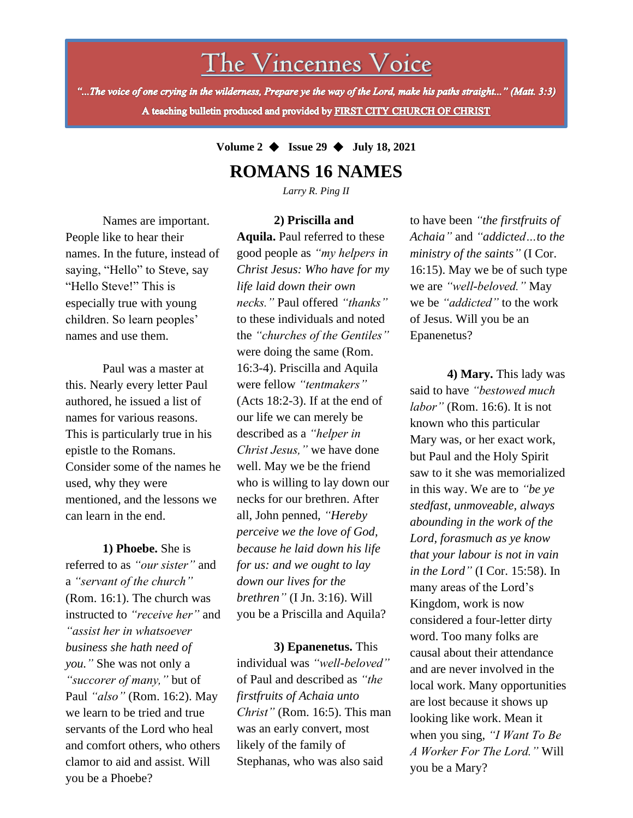The Vincennes Voice

"...The voice of one crying in the wilderness, Prepare ye the way of the Lord, make his paths straight..." (Matt. 3:3) A teaching bulletin produced and provided by FIRST CITY CHURCH OF CHRIST

**Volume 2** ◆ **Issue 29** ◆ **July 18, 2021**

## **ROMANS 16 NAMES**

*Larry R. Ping II*

**2) Priscilla and** 

Names are important. People like to hear their names. In the future, instead of saying, "Hello" to Steve, say "Hello Steve!" This is especially true with young children. So learn peoples' names and use them.

Paul was a master at this. Nearly every letter Paul authored, he issued a list of names for various reasons. This is particularly true in his epistle to the Romans. Consider some of the names he used, why they were mentioned, and the lessons we can learn in the end.

we learn to be tried and true **1) Phoebe.** She is referred to as *"our sister"* and a *"servant of the church"* (Rom. 16:1). The church was instructed to *"receive her"* and *"assist her in whatsoever business she hath need of you."* She was not only a *"succorer of many,"* but of Paul *"also"* (Rom. 16:2). May servants of the Lord who heal and comfort others, who others clamor to aid and assist. Will you be a Phoebe?

**Aquila.** Paul referred to these good people as *"my helpers in Christ Jesus: Who have for my life laid down their own necks."* Paul offered *"thanks"* to these individuals and noted the *"churches of the Gentiles"* were doing the same (Rom. 16:3-4). Priscilla and Aquila were fellow *"tentmakers"* (Acts 18:2-3). If at the end of our life we can merely be described as a *"helper in Christ Jesus,"* we have done well. May we be the friend who is willing to lay down our necks for our brethren. After all, John penned, *"Hereby perceive we the love of God, because he laid down his life for us: and we ought to lay down our lives for the brethren"* (I Jn. 3:16). Will you be a Priscilla and Aquila?

**3) Epanenetus.** This individual was *"well-beloved"* of Paul and described as *"the firstfruits of Achaia unto Christ"* (Rom. 16:5). This man was an early convert, most likely of the family of Stephanas, who was also said

to have been *"the firstfruits of Achaia"* and *"addicted…to the ministry of the saints"* (I Cor. 16:15). May we be of such type we are *"well-beloved."* May we be *"addicted"* to the work of Jesus. Will you be an Epanenetus?

**4) Mary.** This lady was said to have *"bestowed much labor"* (Rom. 16:6). It is not known who this particular Mary was, or her exact work, but Paul and the Holy Spirit saw to it she was memorialized in this way. We are to *"be ye stedfast, unmoveable, always abounding in the work of the Lord, forasmuch as ye know that your labour is not in vain in the Lord"* (I Cor. 15:58). In many areas of the Lord's Kingdom, work is now considered a four-letter dirty word. Too many folks are causal about their attendance and are never involved in the local work. Many opportunities are lost because it shows up looking like work. Mean it when you sing, *"I Want To Be A Worker For The Lord."* Will you be a Mary?